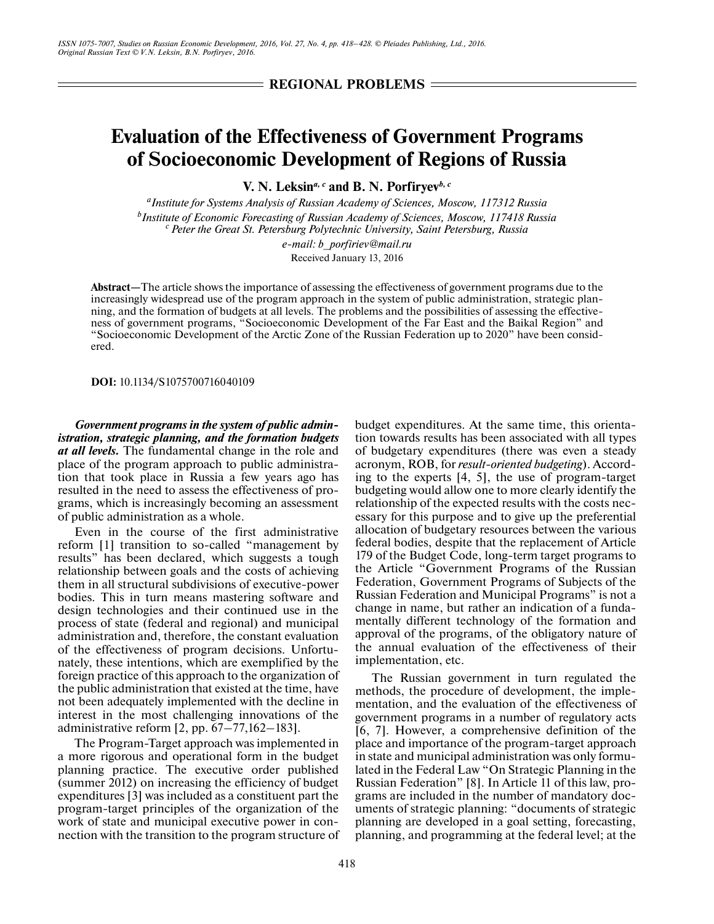**REGIONAL PROBLEMS**

## **Evaluation of the Effectiveness of Government Programs of Socioeconomic Development of Regions of Russia**

**V. N. Leksin***a, c* **and B. N. Porfiryev***b, c*

*aInstitute for Systems Analysis of Russian Academy of Sciences, Moscow, 117312 Russia b Institute of Economic Forecasting of Russian Academy of Sciences, Moscow, 117418 Russia c Peter the Great St. Petersburg Polytechnic University, Saint Petersburg, Russia e-mail: b\_porfiriev@mail.ru*

Received January 13, 2016

**Abstract—**The article shows the importance of assessing the effectiveness of government programs due to the increasingly widespread use of the program approach in the system of public administration, strategic planning, and the formation of budgets at all levels. The problems and the possibilities of assessing the effectiveness of government programs, "Socioeconomic Development of the Far East and the Baikal Region" and "Socioeconomic Development of the Arctic Zone of the Russian Federation up to 2020" have been considered.

**DOI:** 10.1134/S1075700716040109

*Government programs in the system of public administration, strategic planning, and the formation budgets at all levels.* The fundamental change in the role and place of the program approach to public administration that took place in Russia a few years ago has resulted in the need to assess the effectiveness of programs, which is increasingly becoming an assessment of public administration as a whole.

Even in the course of the first administrative reform [1] transition to so-called "management by results" has been declared, which suggests a tough relationship between goals and the costs of achieving them in all structural subdivisions of executive-power bodies. This in turn means mastering software and design technologies and their continued use in the process of state (federal and regional) and municipal administration and, therefore, the constant evaluation of the effectiveness of program decisions. Unfortunately, these intentions, which are exemplified by the foreign practice of this approach to the organization of the public administration that existed at the time, have not been adequately implemented with the decline in interest in the most challenging innovations of the administrative reform [2, pp. 67–77,162–183].

The Program-Target approach was implemented in a more rigorous and operational form in the budget planning practice. The executive order published (summer 2012) on increasing the efficiency of budget expenditures [3] was included as a constituent part the program-target principles of the organization of the work of state and municipal executive power in connection with the transition to the program structure of budget expenditures. At the same time, this orientation towards results has been associated with all types of budgetary expenditures (there was even a steady acronym, ROB, for *result-oriented budgeting*). According to the experts [4, 5], the use of program-target budgeting would allow one to more clearly identify the relationship of the expected results with the costs necessary for this purpose and to give up the preferential allocation of budgetary resources between the various federal bodies, despite that the replacement of Article 179 of the Budget Code, long-term target programs to the Article "Government Programs of the Russian Federation, Government Programs of Subjects of the Russian Federation and Municipal Programs" is not a change in name, but rather an indication of a fundamentally different technology of the formation and approval of the programs, of the obligatory nature of the annual evaluation of the effectiveness of their implementation, etc.

The Russian government in turn regulated the methods, the procedure of development, the implementation, and the evaluation of the effectiveness of government programs in a number of regulatory acts [6, 7]. However, a comprehensive definition of the place and importance of the program-target approach in state and municipal administration was only formulated in the Federal Law "On Strategic Planning in the Russian Federation" [8]. In Article 11 of this law, programs are included in the number of mandatory documents of strategic planning: "documents of strategic planning are developed in a goal setting, forecasting, planning, and programming at the federal level; at the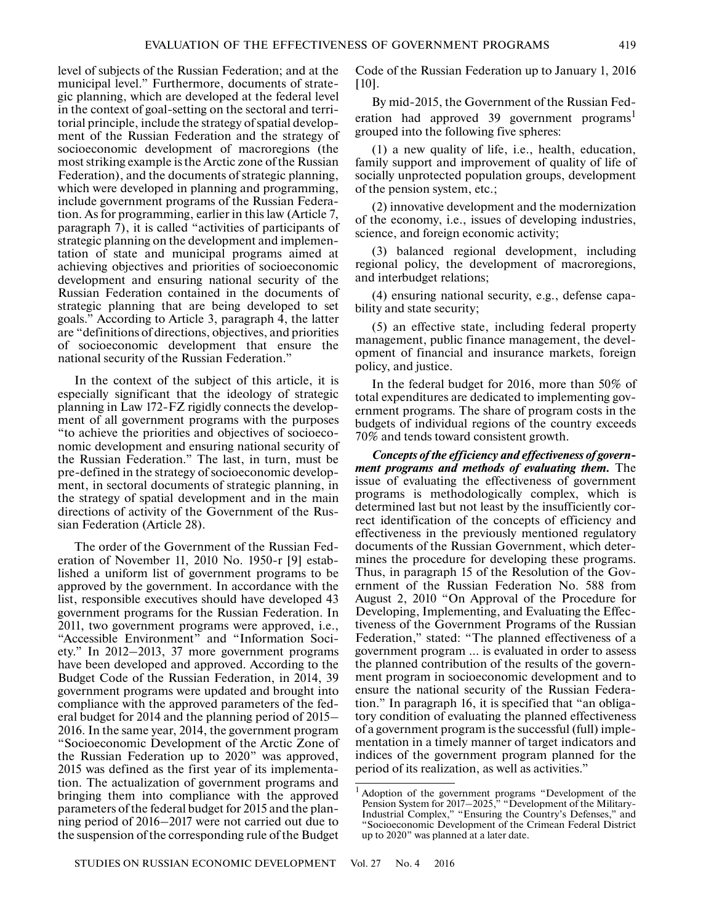level of subjects of the Russian Federation; and at the municipal level." Furthermore, documents of strategic planning, which are developed at the federal level in the context of goal-setting on the sectoral and territorial principle, include the strategy of spatial development of the Russian Federation and the strategy of socioeconomic development of macroregions (the most striking example is the Arctic zone of the Russian Federation), and the documents of strategic planning, which were developed in planning and programming, include government programs of the Russian Federation. As for programming, earlier in this law (Article 7, paragraph 7), it is called "activities of participants of strategic planning on the development and implementation of state and municipal programs aimed at achieving objectives and priorities of socioeconomic development and ensuring national security of the Russian Federation contained in the documents of strategic planning that are being developed to set goals." According to Article 3, paragraph 4, the latter are "definitions of directions, objectives, and priorities of socioeconomic development that ensure the national security of the Russian Federation."

In the context of the subject of this article, it is especially significant that the ideology of strategic planning in Law 172-FZ rigidly connects the development of all government programs with the purposes "to achieve the priorities and objectives of socioeconomic development and ensuring national security of the Russian Federation." The last, in turn, must be pre-defined in the strategy of socioeconomic development, in sectoral documents of strategic planning, in the strategy of spatial development and in the main directions of activity of the Government of the Russian Federation (Article 28).

The order of the Government of the Russian Federation of November 11, 2010 No. 1950-r [9] established a uniform list of government programs to be approved by the government. In accordance with the list, responsible executives should have developed 43 government programs for the Russian Federation. In 2011, two government programs were approved, i.e., "Accessible Environment" and "Information Society." In 2012–2013, 37 more government programs have been developed and approved. According to the Budget Code of the Russian Federation, in 2014, 39 government programs were updated and brought into compliance with the approved parameters of the federal budget for 2014 and the planning period of 2015– 2016. In the same year, 2014, the government program "Socioeconomic Development of the Arctic Zone of the Russian Federation up to 2020" was approved, 2015 was defined as the first year of its implementation. The actualization of government programs and bringing them into compliance with the approved parameters of the federal budget for 2015 and the planning period of 2016–2017 were not carried out due to the suspension of the corresponding rule of the Budget

Code of the Russian Federation up to January 1, 2016 [10].

By mid-2015, the Government of the Russian Federation had approved 39 government programs<sup>1</sup> grouped into the following five spheres:

(1) a new quality of life, i.e., health, education, family support and improvement of quality of life of socially unprotected population groups, development of the pension system, etc.;

(2) innovative development and the modernization of the economy, i.e., issues of developing industries, science, and foreign economic activity;

(3) balanced regional development, including regional policy, the development of macroregions, and interbudget relations;

(4) ensuring national security, e.g., defense capability and state security;

(5) an effective state, including federal property management, public finance management, the development of financial and insurance markets, foreign policy, and justice.

In the federal budget for 2016, more than 50% of total expenditures are dedicated to implementing government programs. The share of program costs in the budgets of individual regions of the country exceeds 70% and tends toward consistent growth.

*Concepts of the efficiency and effectiveness of government programs and methods of evaluating them.* The issue of evaluating the effectiveness of government programs is methodologically complex, which is determined last but not least by the insufficiently correct identification of the concepts of efficiency and effectiveness in the previously mentioned regulatory documents of the Russian Government, which determines the procedure for developing these programs. Thus, in paragraph 15 of the Resolution of the Government of the Russian Federation No. 588 from August 2, 2010 "On Approval of the Procedure for Developing, Implementing, and Evaluating the Effectiveness of the Government Programs of the Russian Federation," stated: "The planned effectiveness of a government program … is evaluated in order to assess the planned contribution of the results of the government program in socioeconomic development and to ensure the national security of the Russian Federation." In paragraph 16, it is specified that "an obligatory condition of evaluating the planned effectiveness of a government program is the successful (full) implementation in a timely manner of target indicators and indices of the government program planned for the period of its realization, as well as activities."

<sup>1</sup> Adoption of the government programs "Development of the Pension System for 2017–2025," "Development of the Military-Industrial Complex," "Ensuring the Country's Defenses," and "Socioeconomic Development of the Crimean Federal District up to 2020" was planned at a later date.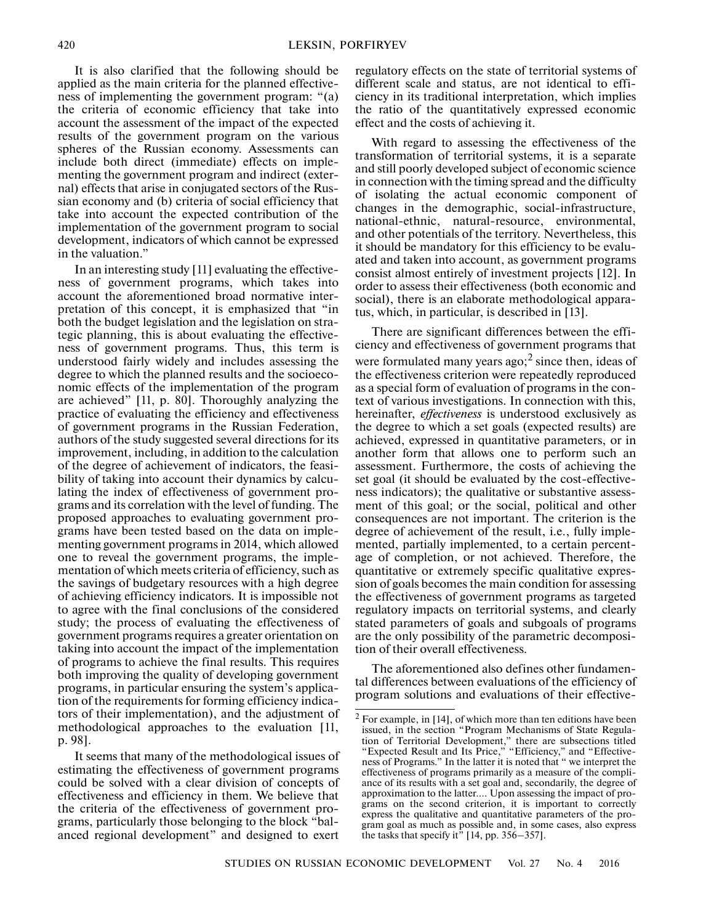It is also clarified that the following should be applied as the main criteria for the planned effectiveness of implementing the government program: "(a) the criteria of economic efficiency that take into account the assessment of the impact of the expected results of the government program on the various spheres of the Russian economy. Assessments can include both direct (immediate) effects on implementing the government program and indirect (external) effects that arise in conjugated sectors of the Russian economy and (b) criteria of social efficiency that take into account the expected contribution of the implementation of the government program to social development, indicators of which cannot be expressed in the valuation."

In an interesting study [11] evaluating the effectiveness of government programs, which takes into account the aforementioned broad normative interpretation of this concept, it is emphasized that "in both the budget legislation and the legislation on strategic planning, this is about evaluating the effectiveness of government programs. Thus, this term is understood fairly widely and includes assessing the degree to which the planned results and the socioeconomic effects of the implementation of the program are achieved" [11, p. 80]. Thoroughly analyzing the practice of evaluating the efficiency and effectiveness of government programs in the Russian Federation, authors of the study suggested several directions for its improvement, including, in addition to the calculation of the degree of achievement of indicators, the feasibility of taking into account their dynamics by calculating the index of effectiveness of government programs and its correlation with the level of funding. The proposed approaches to evaluating government programs have been tested based on the data on implementing government programs in 2014, which allowed one to reveal the government programs, the implementation of which meets criteria of efficiency, such as the savings of budgetary resources with a high degree of achieving efficiency indicators. It is impossible not to agree with the final conclusions of the considered study; the process of evaluating the effectiveness of government programs requires a greater orientation on taking into account the impact of the implementation of programs to achieve the final results. This requires both improving the quality of developing government programs, in particular ensuring the system's application of the requirements for forming efficiency indicators of their implementation), and the adjustment of methodological approaches to the evaluation [11, p. 98].

It seems that many of the methodological issues of estimating the effectiveness of government programs could be solved with a clear division of concepts of effectiveness and efficiency in them. We believe that the criteria of the effectiveness of government programs, particularly those belonging to the block "balanced regional development" and designed to exert

regulatory effects on the state of territorial systems of different scale and status, are not identical to efficiency in its traditional interpretation, which implies the ratio of the quantitatively expressed economic effect and the costs of achieving it.

With regard to assessing the effectiveness of the transformation of territorial systems, it is a separate and still poorly developed subject of economic science in connection with the timing spread and the difficulty of isolating the actual economic component of changes in the demographic, social-infrastructure, national-ethnic, natural-resource, environmental, and other potentials of the territory. Nevertheless, this it should be mandatory for this efficiency to be evaluated and taken into account, as government programs consist almost entirely of investment projects [12]. In order to assess their effectiveness (both economic and social), there is an elaborate methodological apparatus, which, in particular, is described in [13].

There are significant differences between the efficiency and effectiveness of government programs that were formulated many years ago; $^2$  since then, ideas of the effectiveness criterion were repeatedly reproduced as a special form of evaluation of programs in the context of various investigations. In connection with this, hereinafter, *effectiveness* is understood exclusively as the degree to which a set goals (expected results) are achieved, expressed in quantitative parameters, or in another form that allows one to perform such an assessment. Furthermore, the costs of achieving the set goal (it should be evaluated by the cost-effectiveness indicators); the qualitative or substantive assessment of this goal; or the social, political and other consequences are not important. The criterion is the degree of achievement of the result, i.e., fully implemented, partially implemented, to a certain percentage of completion, or not achieved. Therefore, the quantitative or extremely specific qualitative expression of goals becomes the main condition for assessing the effectiveness of government programs as targeted regulatory impacts on territorial systems, and clearly stated parameters of goals and subgoals of programs are the only possibility of the parametric decomposition of their overall effectiveness.

The aforementioned also defines other fundamental differences between evaluations of the efficiency of program solutions and evaluations of their effective-

 $2$  For example, in [14], of which more than ten editions have been issued, in the section "Program Mechanisms of State Regulation of Territorial Development," there are subsections titled "Expected Result and Its Price," "Efficiency," and "Effectiveness of Programs." In the latter it is noted that " we interpret the effectiveness of programs primarily as a measure of the compliance of its results with a set goal and, secondarily, the degree of approximation to the latter…. Upon assessing the impact of programs on the second criterion, it is important to correctly express the qualitative and quantitative parameters of the program goal as much as possible and, in some cases, also express the tasks that specify it" [14, pp. 356–357].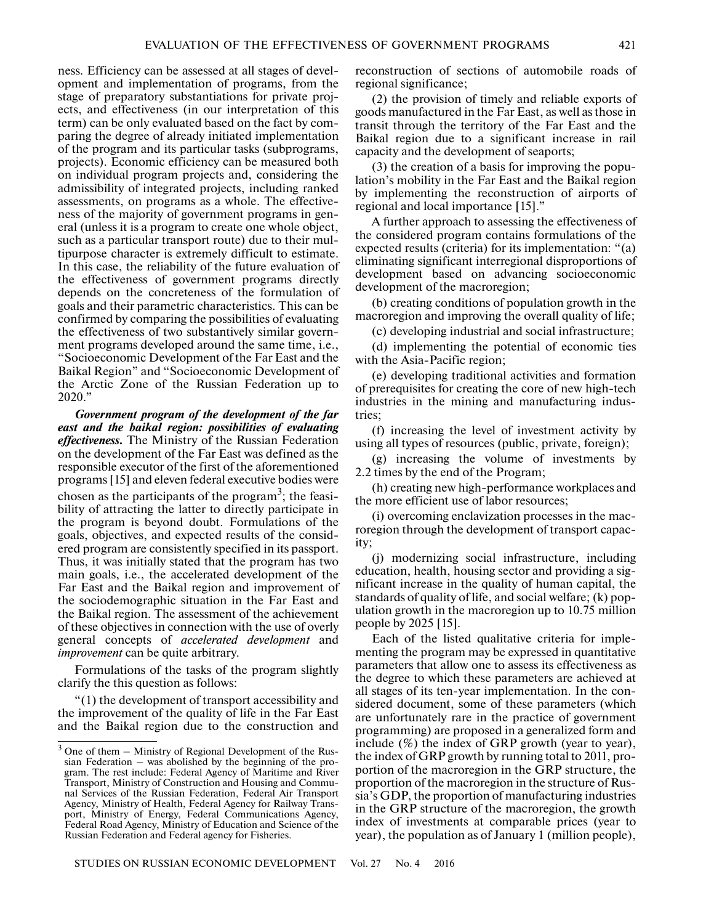ness. Efficiency can be assessed at all stages of development and implementation of programs, from the stage of preparatory substantiations for private projects, and effectiveness (in our interpretation of this term) can be only evaluated based on the fact by comparing the degree of already initiated implementation of the program and its particular tasks (subprograms, projects). Economic efficiency can be measured both on individual program projects and, considering the admissibility of integrated projects, including ranked assessments, on programs as a whole. The effectiveness of the majority of government programs in general (unless it is a program to create one whole object, such as a particular transport route) due to their multipurpose character is extremely difficult to estimate. In this case, the reliability of the future evaluation of the effectiveness of government programs directly depends on the concreteness of the formulation of goals and their parametric characteristics. This can be confirmed by comparing the possibilities of evaluating the effectiveness of two substantively similar government programs developed around the same time, i.e., "Socioeconomic Development of the Far East and the Baikal Region" and "Socioeconomic Development of the Arctic Zone of the Russian Federation up to 2020."

*Government program of the development of the far east and the baikal region: possibilities of evaluating effectiveness.* The Ministry of the Russian Federation on the development of the Far East was defined as the responsible executor of the first of the aforementioned programs [15] and eleven federal executive bodies were chosen as the participants of the program<sup>3</sup>; the feasibility of attracting the latter to directly participate in the program is beyond doubt. Formulations of the goals, objectives, and expected results of the considered program are consistently specified in its passport. Thus, it was initially stated that the program has two main goals, i.e., the accelerated development of the Far East and the Baikal region and improvement of the sociodemographic situation in the Far East and the Baikal region. The assessment of the achievement of these objectives in connection with the use of overly general concepts of *accelerated development* and *improvement* can be quite arbitrary.

Formulations of the tasks of the program slightly clarify the this question as follows:

"(1) the development of transport accessibility and the improvement of the quality of life in the Far East and the Baikal region due to the construction and

reconstruction of sections of automobile roads of regional significance;

(2) the provision of timely and reliable exports of goods manufactured in the Far East, as well as those in transit through the territory of the Far East and the Baikal region due to a significant increase in rail capacity and the development of seaports;

(3) the creation of a basis for improving the population's mobility in the Far East and the Baikal region by implementing the reconstruction of airports of regional and local importance [15]."

A further approach to assessing the effectiveness of the considered program contains formulations of the expected results (criteria) for its implementation: "(a) eliminating significant interregional disproportions of development based on advancing socioeconomic development of the macroregion;

(b) creating conditions of population growth in the macroregion and improving the overall quality of life;

(c) developing industrial and social infrastructure;

(d) implementing the potential of economic ties with the Asia-Pacific region;

(e) developing traditional activities and formation of prerequisites for creating the core of new high-tech industries in the mining and manufacturing industries;

(f) increasing the level of investment activity by using all types of resources (public, private, foreign);

(g) increasing the volume of investments by 2.2 times by the end of the Program;

(h) creating new high-performance workplaces and the more efficient use of labor resources;

(i) overcoming enclavization processes in the macroregion through the development of transport capacity;

(j) modernizing social infrastructure, including education, health, housing sector and providing a significant increase in the quality of human capital, the standards of quality of life, and social welfare; (k) population growth in the macroregion up to 10.75 million people by 2025 [15].

Each of the listed qualitative criteria for implementing the program may be expressed in quantitative parameters that allow one to assess its effectiveness as the degree to which these parameters are achieved at all stages of its ten-year implementation. In the considered document, some of these parameters (which are unfortunately rare in the practice of government programming) are proposed in a generalized form and include (%) the index of GRP growth (year to year), the index of GRP growth by running total to 2011, proportion of the macroregion in the GRP structure, the proportion of the macroregion in the structure of Russia's GDP, the proportion of manufacturing industries in the GRP structure of the macroregion, the growth index of investments at comparable prices (year to year), the population as of January 1 (million people),

 $3$  One of them  $-$  Ministry of Regional Development of the Russian Federation – was abolished by the beginning of the program. The rest include: Federal Agency of Maritime and River Transport, Ministry of Construction and Housing and Communal Services of the Russian Federation, Federal Air Transport Agency, Ministry of Health, Federal Agency for Railway Transport, Ministry of Energy, Federal Communications Agency, Federal Road Agency, Ministry of Education and Science of the Russian Federation and Federal agency for Fisheries.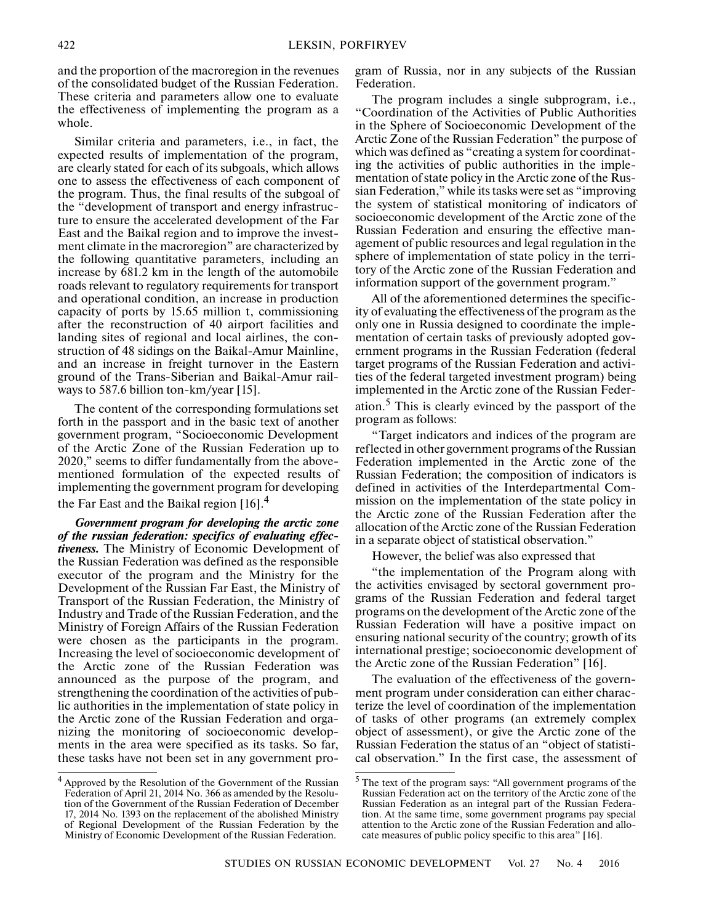and the proportion of the macroregion in the revenues of the consolidated budget of the Russian Federation. These criteria and parameters allow one to evaluate the effectiveness of implementing the program as a whole.

Similar criteria and parameters, i.e., in fact, the expected results of implementation of the program, are clearly stated for each of its subgoals, which allows one to assess the effectiveness of each component of the program. Thus, the final results of the subgoal of the "development of transport and energy infrastructure to ensure the accelerated development of the Far East and the Baikal region and to improve the investment climate in the macroregion" are characterized by the following quantitative parameters, including an increase by 681.2 km in the length of the automobile roads relevant to regulatory requirements for transport and operational condition, an increase in production capacity of ports by 15.65 million t, commissioning after the reconstruction of 40 airport facilities and landing sites of regional and local airlines, the construction of 48 sidings on the Baikal-Amur Mainline, and an increase in freight turnover in the Eastern ground of the Trans-Siberian and Baikal-Amur railways to 587.6 billion ton-km/year [15].

The content of the corresponding formulations set forth in the passport and in the basic text of another government program, "Socioeconomic Development of the Arctic Zone of the Russian Federation up to 2020," seems to differ fundamentally from the abovementioned formulation of the expected results of implementing the government program for developing the Far East and the Baikal region [16].<sup>4</sup>

*Government program for developing the arctic zone of the russian federation: specifics of evaluating effectiveness.* The Ministry of Economic Development of the Russian Federation was defined as the responsible executor of the program and the Ministry for the Development of the Russian Far East, the Ministry of Transport of the Russian Federation, the Ministry of Industry and Trade of the Russian Federation, and the Ministry of Foreign Affairs of the Russian Federation were chosen as the participants in the program. Increasing the level of socioeconomic development of the Arctic zone of the Russian Federation was announced as the purpose of the program, and strengthening the coordination of the activities of public authorities in the implementation of state policy in the Arctic zone of the Russian Federation and organizing the monitoring of socioeconomic developments in the area were specified as its tasks. So far, these tasks have not been set in any government program of Russia, nor in any subjects of the Russian Federation.

The program includes a single subprogram, i.e., "Coordination of the Activities of Public Authorities in the Sphere of Socioeconomic Development of the Arctic Zone of the Russian Federation" the purpose of which was defined as "creating a system for coordinating the activities of public authorities in the implementation of state policy in the Arctic zone of the Russian Federation," while its tasks were set as "improving the system of statistical monitoring of indicators of socioeconomic development of the Arctic zone of the Russian Federation and ensuring the effective management of public resources and legal regulation in the sphere of implementation of state policy in the territory of the Arctic zone of the Russian Federation and information support of the government program."

All of the aforementioned determines the specificity of evaluating the effectiveness of the program as the only one in Russia designed to coordinate the implementation of certain tasks of previously adopted government programs in the Russian Federation (federal target programs of the Russian Federation and activities of the federal targeted investment program) being implemented in the Arctic zone of the Russian Federation.<sup>5</sup> This is clearly evinced by the passport of the program as follows:

"Target indicators and indices of the program are reflected in other government programs of the Russian Federation implemented in the Arctic zone of the Russian Federation; the composition of indicators is defined in activities of the Interdepartmental Commission on the implementation of the state policy in the Arctic zone of the Russian Federation after the allocation of the Arctic zone of the Russian Federation in a separate object of statistical observation."

However, the belief was also expressed that

"the implementation of the Program along with the activities envisaged by sectoral government programs of the Russian Federation and federal target programs on the development of the Arctic zone of the Russian Federation will have a positive impact on ensuring national security of the country; growth of its international prestige; socioeconomic development of the Arctic zone of the Russian Federation" [16].

The evaluation of the effectiveness of the government program under consideration can either characterize the level of coordination of the implementation of tasks of other programs (an extremely complex object of assessment), or give the Arctic zone of the Russian Federation the status of an "object of statistical observation." In the first case, the assessment of

 $4$  Approved by the Resolution of the Government of the Russian Federation of April 21, 2014 No. 366 as amended by the Resolution of the Government of the Russian Federation of December 17, 2014 No. 1393 on the replacement of the abolished Ministry of Regional Development of the Russian Federation by the Ministry of Economic Development of the Russian Federation.

<sup>5</sup> The text of the program says: "All government programs of the Russian Federation act on the territory of the Arctic zone of the Russian Federation as an integral part of the Russian Federation. At the same time, some government programs pay special attention to the Arctic zone of the Russian Federation and allocate measures of public policy specific to this area" [16].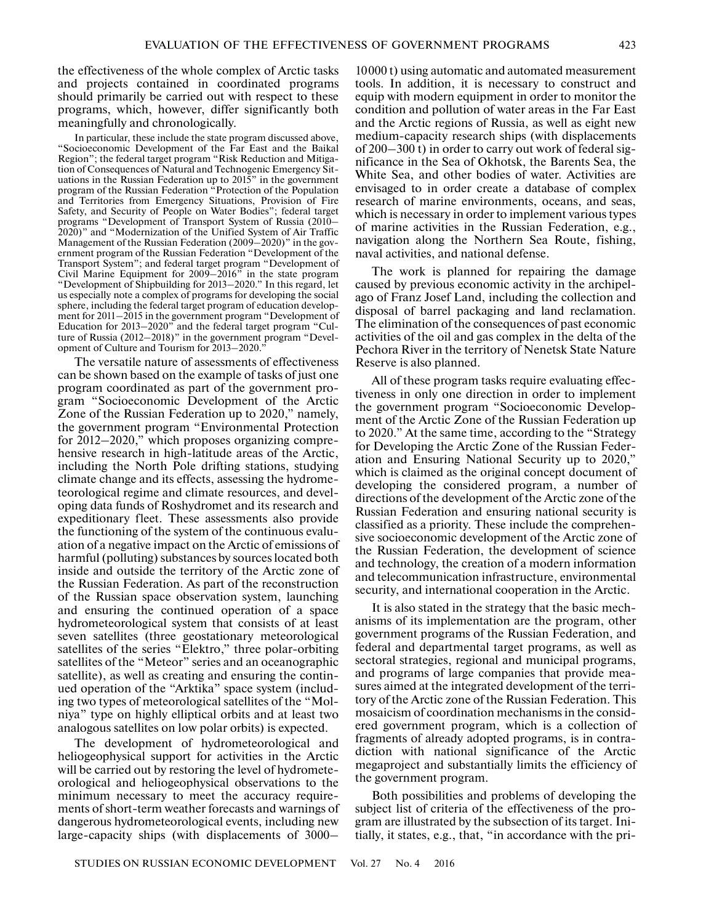the effectiveness of the whole complex of Arctic tasks and projects contained in coordinated programs should primarily be carried out with respect to these programs, which, however, differ significantly both meaningfully and chronologically.

In particular, these include the state program discussed above, "Socioeconomic Development of the Far East and the Baikal Region"; the federal target program "Risk Reduction and Mitigation of Consequences of Natural and Technogenic Emergency Situations in the Russian Federation up to 2015" in the government program of the Russian Federation "Protection of the Population and Territories from Emergency Situations, Provision of Fire Safety, and Security of People on Water Bodies"; federal target programs "Development of Transport System of Russia (2010– 2020)" and "Modernization of the Unified System of Air Traffic Management of the Russian Federation (2009–2020)" in the government program of the Russian Federation "Development of the Transport System"; and federal target program "Development of Civil Marine Equipment for 2009–2016" in the state program "Development of Shipbuilding for 2013–2020." In this regard, let us especially note a complex of programs for developing the social sphere, including the federal target program of education development for 2011–2015 in the government program "Development of Education for 2013–2020" and the federal target program "Culture of Russia (2012–2018)" in the government program "Development of Culture and Tourism for 2013–2020."

The versatile nature of assessments of effectiveness can be shown based on the example of tasks of just one program coordinated as part of the government program "Socioeconomic Development of the Arctic Zone of the Russian Federation up to 2020," namely, the government program "Environmental Protection for 2012–2020," which proposes organizing comprehensive research in high-latitude areas of the Arctic, including the North Pole drifting stations, studying climate change and its effects, assessing the hydrometeorological regime and climate resources, and developing data funds of Roshydromet and its research and expeditionary fleet. These assessments also provide the functioning of the system of the continuous evaluation of a negative impact on the Arctic of emissions of harmful (polluting) substances by sources located both inside and outside the territory of the Arctic zone of the Russian Federation. As part of the reconstruction of the Russian space observation system, launching and ensuring the continued operation of a space hydrometeorological system that consists of at least seven satellites (three geostationary meteorological satellites of the series "Elektro," three polar-orbiting satellites of the "Meteor" series and an oceanographic satellite), as well as creating and ensuring the continued operation of the "Arktika" space system (including two types of meteorological satellites of the "Molniya" type on highly elliptical orbits and at least two analogous satellites on low polar orbits) is expected.

The development of hydrometeorological and heliogeophysical support for activities in the Arctic will be carried out by restoring the level of hydrometeorological and heliogeophysical observations to the minimum necessary to meet the accuracy requirements of short-term weather forecasts and warnings of dangerous hydrometeorological events, including new large-capacity ships (with displacements of 3000–

10000 t) using automatic and automated measurement tools. In addition, it is necessary to construct and equip with modern equipment in order to monitor the condition and pollution of water areas in the Far East and the Arctic regions of Russia, as well as eight new medium-capacity research ships (with displacements of 200–300 t) in order to carry out work of federal significance in the Sea of Okhotsk, the Barents Sea, the White Sea, and other bodies of water. Activities are envisaged to in order create a database of complex research of marine environments, oceans, and seas, which is necessary in order to implement various types of marine activities in the Russian Federation, e.g., navigation along the Northern Sea Route, fishing, naval activities, and national defense.

The work is planned for repairing the damage caused by previous economic activity in the archipelago of Franz Josef Land, including the collection and disposal of barrel packaging and land reclamation. The elimination of the consequences of past economic activities of the oil and gas complex in the delta of the Pechora River in the territory of Nenetsk State Nature Reserve is also planned.

All of these program tasks require evaluating effectiveness in only one direction in order to implement the government program "Socioeconomic Development of the Arctic Zone of the Russian Federation up to 2020." At the same time, according to the "Strategy for Developing the Arctic Zone of the Russian Federation and Ensuring National Security up to 2020," which is claimed as the original concept document of developing the considered program, a number of directions of the development of the Arctic zone of the Russian Federation and ensuring national security is classified as a priority. These include the comprehensive socioeconomic development of the Arctic zone of the Russian Federation, the development of science and technology, the creation of a modern information and telecommunication infrastructure, environmental security, and international cooperation in the Arctic.

It is also stated in the strategy that the basic mechanisms of its implementation are the program, other government programs of the Russian Federation, and federal and departmental target programs, as well as sectoral strategies, regional and municipal programs, and programs of large companies that provide measures aimed at the integrated development of the territory of the Arctic zone of the Russian Federation. This mosaicism of coordination mechanisms in the considered government program, which is a collection of fragments of already adopted programs, is in contradiction with national significance of the Arctic megaproject and substantially limits the efficiency of the government program.

Both possibilities and problems of developing the subject list of criteria of the effectiveness of the program are illustrated by the subsection of its target. Initially, it states, e.g., that, "in accordance with the pri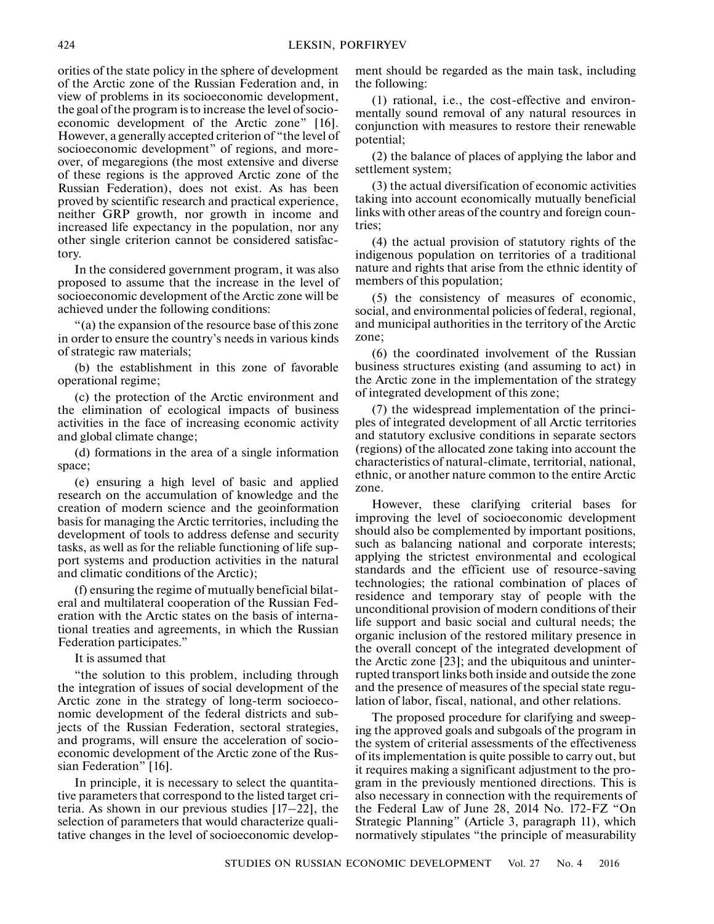orities of the state policy in the sphere of development of the Arctic zone of the Russian Federation and, in view of problems in its socioeconomic development, the goal of the program is to increase the level of socioeconomic development of the Arctic zone" [16]. However, a generally accepted criterion of "the level of socioeconomic development" of regions, and moreover, of megaregions (the most extensive and diverse of these regions is the approved Arctic zone of the Russian Federation), does not exist. As has been proved by scientific research and practical experience, neither GRP growth, nor growth in income and increased life expectancy in the population, nor any other single criterion cannot be considered satisfactory.

In the considered government program, it was also proposed to assume that the increase in the level of socioeconomic development of the Arctic zone will be achieved under the following conditions:

"(a) the expansion of the resource base of this zone in order to ensure the country's needs in various kinds of strategic raw materials;

(b) the establishment in this zone of favorable operational regime;

(c) the protection of the Arctic environment and the elimination of ecological impacts of business activities in the face of increasing economic activity and global climate change;

(d) formations in the area of a single information space;

(e) ensuring a high level of basic and applied research on the accumulation of knowledge and the creation of modern science and the geoinformation basis for managing the Arctic territories, including the development of tools to address defense and security tasks, as well as for the reliable functioning of life support systems and production activities in the natural and climatic conditions of the Arctic);

(f) ensuring the regime of mutually beneficial bilateral and multilateral cooperation of the Russian Federation with the Arctic states on the basis of international treaties and agreements, in which the Russian Federation participates."

It is assumed that

"the solution to this problem, including through the integration of issues of social development of the Arctic zone in the strategy of long-term socioeconomic development of the federal districts and subjects of the Russian Federation, sectoral strategies, and programs, will ensure the acceleration of socioeconomic development of the Arctic zone of the Russian Federation" [16].

In principle, it is necessary to select the quantitative parameters that correspond to the listed target criteria. As shown in our previous studies [17–22], the selection of parameters that would characterize qualitative changes in the level of socioeconomic development should be regarded as the main task, including the following:

(1) rational, i.e., the cost-effective and environmentally sound removal of any natural resources in conjunction with measures to restore their renewable potential;

(2) the balance of places of applying the labor and settlement system;

(3) the actual diversification of economic activities taking into account economically mutually beneficial links with other areas of the country and foreign countries;

(4) the actual provision of statutory rights of the indigenous population on territories of a traditional nature and rights that arise from the ethnic identity of members of this population;

(5) the consistency of measures of economic, social, and environmental policies of federal, regional, and municipal authorities in the territory of the Arctic zone;

(6) the coordinated involvement of the Russian business structures existing (and assuming to act) in the Arctic zone in the implementation of the strategy of integrated development of this zone;

(7) the widespread implementation of the principles of integrated development of all Arctic territories and statutory exclusive conditions in separate sectors (regions) of the allocated zone taking into account the characteristics of natural-climate, territorial, national, ethnic, or another nature common to the entire Arctic zone.

However, these clarifying criterial bases for improving the level of socioeconomic development should also be complemented by important positions, such as balancing national and corporate interests; applying the strictest environmental and ecological standards and the efficient use of resource-saving technologies; the rational combination of places of residence and temporary stay of people with the unconditional provision of modern conditions of their life support and basic social and cultural needs; the organic inclusion of the restored military presence in the overall concept of the integrated development of the Arctic zone [23]; and the ubiquitous and uninterrupted transport links both inside and outside the zone and the presence of measures of the special state regulation of labor, fiscal, national, and other relations.

The proposed procedure for clarifying and sweeping the approved goals and subgoals of the program in the system of criterial assessments of the effectiveness of its implementation is quite possible to carry out, but it requires making a significant adjustment to the program in the previously mentioned directions. This is also necessary in connection with the requirements of the Federal Law of June 28, 2014 No. 172-FZ "On Strategic Planning" (Article 3, paragraph 11), which normatively stipulates "the principle of measurability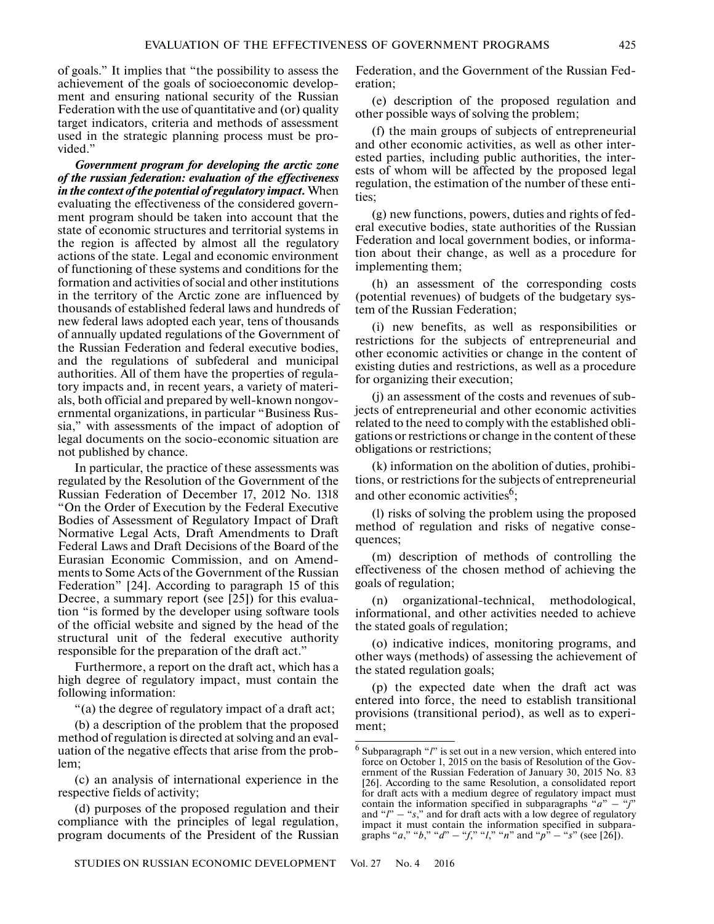of goals." It implies that "the possibility to assess the achievement of the goals of socioeconomic development and ensuring national security of the Russian Federation with the use of quantitative and (or) quality target indicators, criteria and methods of assessment used in the strategic planning process must be provided."

*Government program for developing the arctic zone of the russian federation: evaluation of the effectiveness in the context of the potential of regulatory impact.* When evaluating the effectiveness of the considered government program should be taken into account that the state of economic structures and territorial systems in the region is affected by almost all the regulatory actions of the state. Legal and economic environment of functioning of these systems and conditions for the formation and activities of social and other institutions in the territory of the Arctic zone are influenced by thousands of established federal laws and hundreds of new federal laws adopted each year, tens of thousands of annually updated regulations of the Government of the Russian Federation and federal executive bodies, and the regulations of subfederal and municipal authorities. All of them have the properties of regulatory impacts and, in recent years, a variety of materials, both official and prepared by well-known nongovernmental organizations, in particular "Business Russia," with assessments of the impact of adoption of legal documents on the socio-economic situation are not published by chance.

In particular, the practice of these assessments was regulated by the Resolution of the Government of the Russian Federation of December 17, 2012 No. 1318 "On the Order of Execution by the Federal Executive Bodies of Assessment of Regulatory Impact of Draft Normative Legal Acts, Draft Amendments to Draft Federal Laws and Draft Decisions of the Board of the Eurasian Economic Commission, and on Amendments to Some Acts of the Government of the Russian Federation" [24]. According to paragraph 15 of this Decree, a summary report (see [25]) for this evaluation "is formed by the developer using software tools of the official website and signed by the head of the structural unit of the federal executive authority responsible for the preparation of the draft act."

Furthermore, a report on the draft act, which has a high degree of regulatory impact, must contain the following information:

"(a) the degree of regulatory impact of a draft act;

(b) a description of the problem that the proposed method of regulation is directed at solving and an evaluation of the negative effects that arise from the problem;

(c) an analysis of international experience in the respective fields of activity;

(d) purposes of the proposed regulation and their compliance with the principles of legal regulation, program documents of the President of the Russian

Federation, and the Government of the Russian Federation;

(e) description of the proposed regulation and other possible ways of solving the problem;

(f) the main groups of subjects of entrepreneurial and other economic activities, as well as other interested parties, including public authorities, the interests of whom will be affected by the proposed legal regulation, the estimation of the number of these entities;

(g) new functions, powers, duties and rights of federal executive bodies, state authorities of the Russian Federation and local government bodies, or information about their change, as well as a procedure for implementing them;

(h) an assessment of the corresponding costs (potential revenues) of budgets of the budgetary system of the Russian Federation;

(i) new benefits, as well as responsibilities or restrictions for the subjects of entrepreneurial and other economic activities or change in the content of existing duties and restrictions, as well as a procedure for organizing their execution;

(j) an assessment of the costs and revenues of subjects of entrepreneurial and other economic activities related to the need to comply with the established obligations or restrictions or change in the content of these obligations or restrictions;

(k) information on the abolition of duties, prohibitions, or restrictions for the subjects of entrepreneurial and other economic activities $^6;$ 

(l) risks of solving the problem using the proposed method of regulation and risks of negative consequences;

(m) description of methods of controlling the effectiveness of the chosen method of achieving the goals of regulation;

(n) organizational-technical, methodological, informational, and other activities needed to achieve the stated goals of regulation;

(o) indicative indices, monitoring programs, and other ways (methods) of assessing the achievement of the stated regulation goals;

(p) the expected date when the draft act was entered into force, the need to establish transitional provisions (transitional period), as well as to experiment;

<sup>6</sup> Subparagraph "*l*" is set out in a new version, which entered into force on October 1, 2015 on the basis of Resolution of the Government of the Russian Federation of January 30, 2015 No. 83 [26]. According to the same Resolution, a consolidated report for draft acts with a medium degree of regulatory impact must contain the information specified in subparagraphs "*a*" – "*j*" and "*l*" – "*s*," and for draft acts with a low degree of regulatory impact it must contain the information specified in subparagraphs "*a*," "*b*," "*d*" – "*f*," "*l*," "*n*" and " $p$ <sup>"</sup> – "*s*" (see [26]).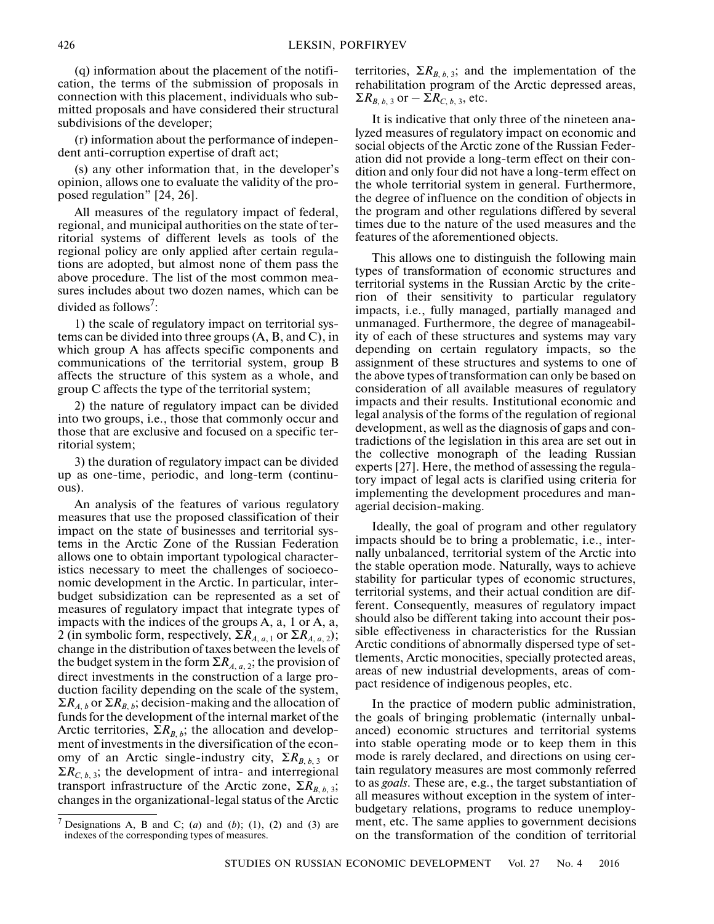(q) information about the placement of the notification, the terms of the submission of proposals in connection with this placement, individuals who submitted proposals and have considered their structural subdivisions of the developer;

(r) information about the performance of independent anti-corruption expertise of draft act;

(s) any other information that, in the developer's opinion, allows one to evaluate the validity of the proposed regulation" [24, 26].

All measures of the regulatory impact of federal, regional, and municipal authorities on the state of territorial systems of different levels as tools of the regional policy are only applied after certain regulations are adopted, but almost none of them pass the above procedure. The list of the most common measures includes about two dozen names, which can be divided as follows<sup>7</sup>:

1) the scale of regulatory impact on territorial systems can be divided into three groups (A, B, and C), in which group A has affects specific components and communications of the territorial system, group B affects the structure of this system as a whole, and group C affects the type of the territorial system;

2) the nature of regulatory impact can be divided into two groups, i.e., those that commonly occur and those that are exclusive and focused on a specific territorial system;

3) the duration of regulatory impact can be divided up as one-time, periodic, and long-term (continuous).

An analysis of the features of various regulatory measures that use the proposed classification of their impact on the state of businesses and territorial systems in the Arctic Zone of the Russian Federation allows one to obtain important typological characteristics necessary to meet the challenges of socioeconomic development in the Arctic. In particular, interbudget subsidization can be represented as a set of measures of regulatory impact that integrate types of impacts with the indices of the groups A, a, 1 or A, a, 2 (in symbolic form, respectively,  $\Sigma R_{A, a, 1}$  or  $\Sigma R_{A, a, 2}$ ); change in the distribution of taxes between the levels of the budget system in the form  $\Sigma R_{A, a, 2}$ ; the provision of direct investments in the construction of a large production facility depending on the scale of the system,  $\Sigma R_{A, b}$  or  $\Sigma R_{B, b}$ ; decision-making and the allocation of funds for the development of the internal market of the Arctic territories,  $\Sigma R_{B, b}$ ; the allocation and development of investments in the diversification of the economy of an Arctic single-industry city, Σ*R<sub>B, b, 3</sub>* or  $\Sigma R_{C, b, 3}$ ; the development of intra- and interregional transport infrastructure of the Arctic zone,  $\Sigma R_{B, b, 3}$ ; changes in the organizational-legal status of the Arctic territories,  $\Sigma R_{B, b, 3}$ ; and the implementation of the rehabilitation program of the Arctic depressed areas,  $\Sigma R_{B, b, 3}$  or  $-\Sigma R_{C, b, 3}$ , etc.

It is indicative that only three of the nineteen analyzed measures of regulatory impact on economic and social objects of the Arctic zone of the Russian Federation did not provide a long-term effect on their condition and only four did not have a long-term effect on the whole territorial system in general. Furthermore, the degree of influence on the condition of objects in the program and other regulations differed by several times due to the nature of the used measures and the features of the aforementioned objects.

This allows one to distinguish the following main types of transformation of economic structures and territorial systems in the Russian Arctic by the criterion of their sensitivity to particular regulatory impacts, i.e., fully managed, partially managed and unmanaged. Furthermore, the degree of manageability of each of these structures and systems may vary depending on certain regulatory impacts, so the assignment of these structures and systems to one of the above types of transformation can only be based on consideration of all available measures of regulatory impacts and their results. Institutional economic and legal analysis of the forms of the regulation of regional development, as well as the diagnosis of gaps and contradictions of the legislation in this area are set out in the collective monograph of the leading Russian experts [27]. Here, the method of assessing the regulatory impact of legal acts is clarified using criteria for implementing the development procedures and managerial decision-making.

Ideally, the goal of program and other regulatory impacts should be to bring a problematic, i.e., internally unbalanced, territorial system of the Arctic into the stable operation mode. Naturally, ways to achieve stability for particular types of economic structures, territorial systems, and their actual condition are different. Consequently, measures of regulatory impact should also be different taking into account their possible effectiveness in characteristics for the Russian Arctic conditions of abnormally dispersed type of settlements, Arctic monocities, specially protected areas, areas of new industrial developments, areas of compact residence of indigenous peoples, etc.

In the practice of modern public administration, the goals of bringing problematic (internally unbalanced) economic structures and territorial systems into stable operating mode or to keep them in this mode is rarely declared, and directions on using certain regulatory measures are most commonly referred to as *goals*. These are, e.g., the target substantiation of all measures without exception in the system of interbudgetary relations, programs to reduce unemployment, etc. The same applies to government decisions on the transformation of the condition of territorial

<sup>&</sup>lt;sup>7</sup> Designations A, B and C; (*a*) and (*b*); (1), (2) and (3) are indexes of the corresponding types of measures.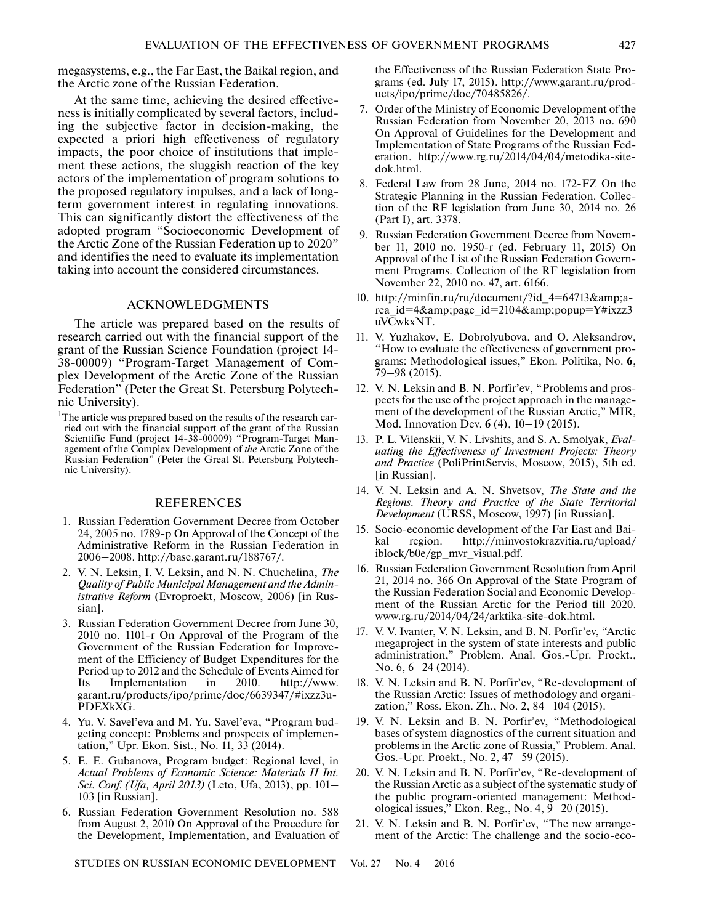megasystems, e.g., the Far East, the Baikal region, and the Arctic zone of the Russian Federation.

At the same time, achieving the desired effectiveness is initially complicated by several factors, including the subjective factor in decision-making, the expected a priori high effectiveness of regulatory impacts, the poor choice of institutions that implement these actions, the sluggish reaction of the key actors of the implementation of program solutions to the proposed regulatory impulses, and a lack of longterm government interest in regulating innovations. This can significantly distort the effectiveness of the adopted program "Socioeconomic Development of the Arctic Zone of the Russian Federation up to 2020" and identifies the need to evaluate its implementation taking into account the considered circumstances.

## ACKNOWLEDGMENTS

The article was prepared based on the results of research carried out with the financial support of the grant of the Russian Science Foundation (project 14- 38-00009) "Program-Target Management of Complex Development of the Arctic Zone of the Russian Federation" (Peter the Great St. Petersburg Polytechnic University).

<sup>1</sup>The article was prepared based on the results of the research carried out with the financial support of the grant of the Russian Scientific Fund (project 14-38-00009) "Program-Target Management of the Complex Development of *the* Arctic Zone of the Russian Federation" (Peter the Great St. Petersburg Polytechnic University).

## REFERENCES

- 1. Russian Federation Government Decree from October 24, 2005 no. 1789-p On Approval of the Concept of the Administrative Reform in the Russian Federation in 2006–2008. http://base.garant.ru/188767/.
- 2. V. N. Leksin, I. V. Leksin, and N. N. Chuchelina, *The Quality of Public Municipal Management and the Administrative Reform* (Evroproekt, Moscow, 2006) [in Russian].
- 3. Russian Federation Government Decree from June 30, 2010 no. 1101-r On Approval of the Program of the Government of the Russian Federation for Improvement of the Efficiency of Budget Expenditures for the Period up to 2012 and the Schedule of Events Aimed for Its Implementation in 2010. http://www. garant.ru/products/ipo/prime/doc/6639347/#ixzz3u-PDEXkXG.
- 4. Yu. V. Savel'eva and M. Yu. Savel'eva, "Program budgeting concept: Problems and prospects of implementation," Upr. Ekon. Sist., No. 11, 33 (2014).
- 5. E. E. Gubanova, Program budget: Regional level, in *Actual Problems of Economic Science: Materials II Int. Sci. Conf. (Ufa, April 2013)* (Leto, Ufa, 2013), pp. 101– 103 [in Russian].
- 6. Russian Federation Government Resolution no. 588 from August 2, 2010 On Approval of the Procedure for the Development, Implementation, and Evaluation of

the Effectiveness of the Russian Federation State Programs (ed. July 17, 2015). http://www.garant.ru/products/ipo/prime/doc/70485826/.

- 7. Order of the Ministry of Economic Development of the Russian Federation from November 20, 2013 no. 690 On Approval of Guidelines for the Development and Implementation of State Programs of the Russian Federation. http://www.rg.ru/2014/04/04/metodika-sitedok.html.
- 8. Federal Law from 28 June, 2014 no. 172-FZ On the Strategic Planning in the Russian Federation. Collection of the RF legislation from June 30, 2014 no. 26 (Part I), art. 3378.
- 9. Russian Federation Government Decree from November 11, 2010 no. 1950-r (ed. February 11, 2015) On Approval of the List of the Russian Federation Government Programs. Collection of the RF legislation from November 22, 2010 no. 47, art. 6166.
- 10. http://minfin.ru/ru/document/?id  $4=64713\&arctan 10$ rea id=4&page id=2104&popup=Y#ixzz3 uVCwkxNT.
- 11. V. Yuzhakov, E. Dobrolyubova, and O. Aleksandrov, "How to evaluate the effectiveness of government programs: Methodological issues," Ekon. Politika, No. **6**, 79–98 (2015).
- 12. V. N. Leksin and B. N. Porfir'ev, "Problems and prospects for the use of the project approach in the management of the development of the Russian Arctic," MIR, Mod. Innovation Dev. **6** (4), 10–19 (2015).
- 13. P. L. Vilenskii, V. N. Livshits, and S. A. Smolyak, *Evaluating the Effectiveness of Investment Projects: Theory and Practice* (PoliPrintServis, Moscow, 2015), 5th ed. [in Russian].
- 14. V. N. Leksin and A. N. Shvetsov, *The State and the Regions. Theory and Practice of the State Territorial Development* (URSS, Moscow, 1997) [in Russian].
- 15. Socio-economic development of the Far East and Baikal region. http://minvostokrazvitia.ru/upload/ iblock/b0e/gp\_mvr\_visual.pdf.
- 16. Russian Federation Government Resolution from April 21, 2014 no. 366 On Approval of the State Program of the Russian Federation Social and Economic Development of the Russian Arctic for the Period till 2020. www.rg.ru/2014/04/24/arktika-site-dok.html.
- 17. V. V. Ivanter, V. N. Leksin, and B. N. Porfir'ev, "Arctic megaproject in the system of state interests and public administration," Problem. Anal. Gos.-Upr. Proekt., No. 6, 6–24 (2014).
- 18. V. N. Leksin and B. N. Porfir'ev, "Re-development of the Russian Arctic: Issues of methodology and organization," Ross. Ekon. Zh., No. 2, 84–104 (2015).
- 19. V. N. Leksin and B. N. Porfir'ev, "Methodological bases of system diagnostics of the current situation and problems in the Arctic zone of Russia," Problem. Anal. Gos.-Upr. Proekt., No. 2, 47–59 (2015).
- 20. V. N. Leksin and B. N. Porfir'ev, "Re-development of the Russian Arctic as a subject of the systematic study of the public program-oriented management: Methodological issues," Ekon. Reg., No. 4, 9–20 (2015).
- 21. V. N. Leksin and B. N. Porfir'ev, "The new arrangement of the Arctic: The challenge and the socio-eco-

STUDIES ON RUSSIAN ECONOMIC DEVELOPMENT Vol. 27 No. 4 2016